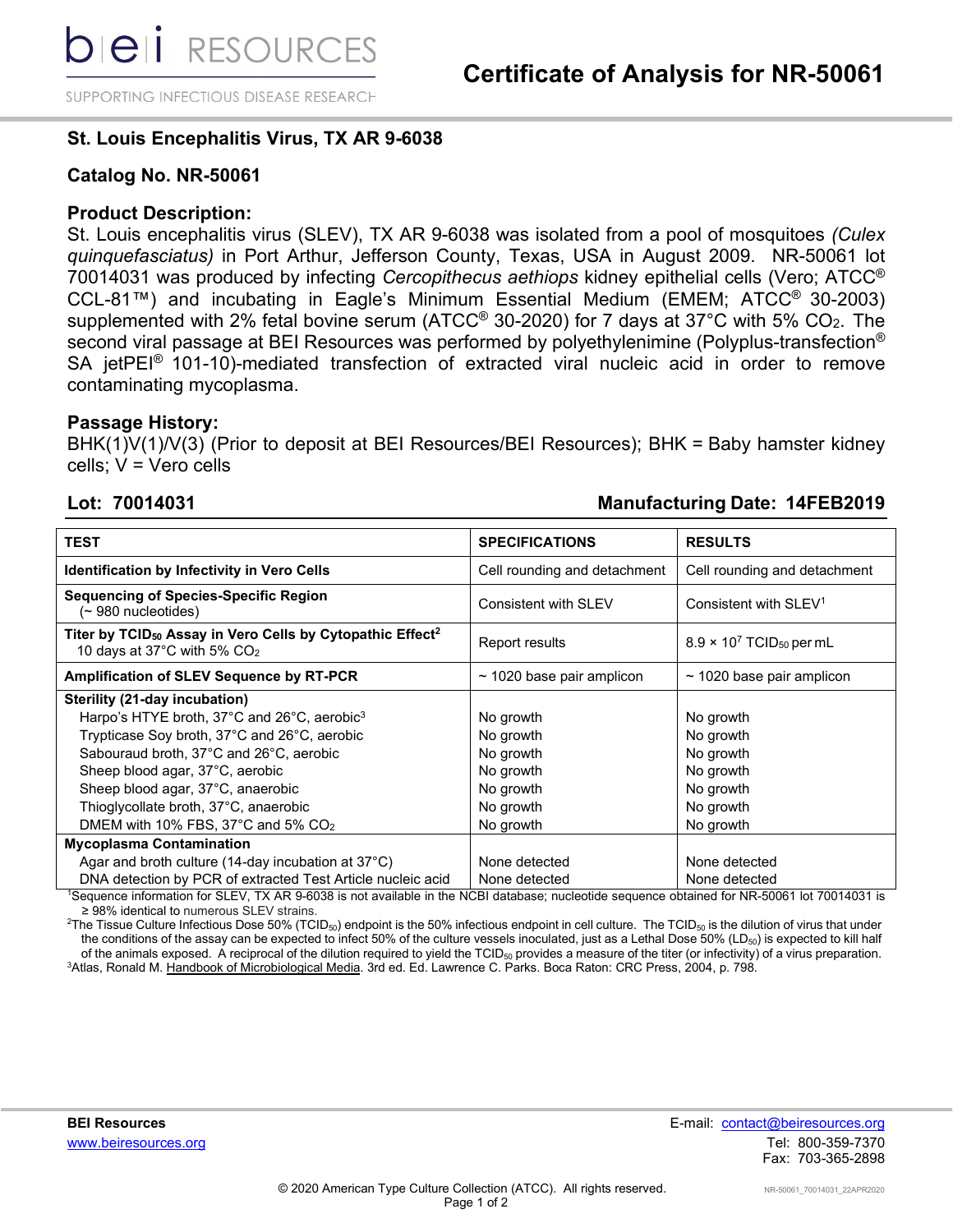SUPPORTING INFECTIOUS DISEASE RESEARCH

# **St. Louis Encephalitis Virus, TX AR 9-6038**

# **Catalog No. NR-50061**

# **Product Description:**

St. Louis encephalitis virus (SLEV), TX AR 9-6038 was isolated from a pool of mosquitoes *(Culex quinquefasciatus)* in Port Arthur, Jefferson County, Texas, USA in August 2009. NR-50061 lot 70014031 was produced by infecting *Cercopithecus aethiops* kidney epithelial cells (Vero; ATCC® CCL-81™) and incubating in Eagle's Minimum Essential Medium (EMEM; ATCC® 30-2003) supplemented with 2% fetal bovine serum (ATCC<sup>®</sup> 30-2020) for 7 days at 37°C with 5% CO<sub>2</sub>. The second viral passage at BEI Resources was performed by polyethylenimine (Polyplus-transfection® SA jetPEI<sup>®</sup> 101-10)-mediated transfection of extracted viral nucleic acid in order to remove contaminating mycoplasma.

# **Passage History:**

BHK(1)V(1)/V(3) (Prior to deposit at BEI Resources/BEI Resources); BHK = Baby hamster kidney cells; V = Vero cells

### **Lot: 70014031 Manufacturing Date: 14FEB2019**

| <b>TEST</b>                                                                                                                  | <b>SPECIFICATIONS</b>          | <b>RESULTS</b>                              |
|------------------------------------------------------------------------------------------------------------------------------|--------------------------------|---------------------------------------------|
| <b>Identification by Infectivity in Vero Cells</b>                                                                           | Cell rounding and detachment   | Cell rounding and detachment                |
| <b>Sequencing of Species-Specific Region</b><br>(~ 980 nucleotides)                                                          | Consistent with SLEV           | Consistent with SLEV <sup>1</sup>           |
| Titer by TCID <sub>50</sub> Assay in Vero Cells by Cytopathic Effect <sup>2</sup><br>10 days at 37°C with 5% CO <sub>2</sub> | Report results                 | $8.9 \times 10^7$ TCID <sub>50</sub> per mL |
| Amplification of SLEV Sequence by RT-PCR                                                                                     | $\sim$ 1020 base pair amplicon | $\sim$ 1020 base pair amplicon              |
| Sterility (21-day incubation)                                                                                                |                                |                                             |
| Harpo's HTYE broth, 37°C and 26°C, aerobic <sup>3</sup>                                                                      | No growth                      | No growth                                   |
| Trypticase Soy broth, 37°C and 26°C, aerobic                                                                                 | No growth                      | No growth                                   |
| Sabouraud broth, 37°C and 26°C, aerobic                                                                                      | No growth                      | No growth                                   |
| Sheep blood agar, 37°C, aerobic                                                                                              | No growth                      | No growth                                   |
| Sheep blood agar, 37°C, anaerobic                                                                                            | No growth                      | No growth                                   |
| Thioglycollate broth, 37°C, anaerobic                                                                                        | No growth                      | No growth                                   |
| DMEM with 10% FBS, 37 $\degree$ C and 5% CO <sub>2</sub>                                                                     | No growth                      | No growth                                   |
| <b>Mycoplasma Contamination</b>                                                                                              |                                |                                             |
| Agar and broth culture (14-day incubation at $37^{\circ}$ C)                                                                 | None detected                  | None detected                               |
| DNA detection by PCR of extracted Test Article nucleic acid                                                                  | None detected                  | None detected                               |

1 Sequence information for SLEV, TX AR 9-6038 is not available in the NCBI database; nucleotide sequence obtained for NR-50061 lot 70014031 is ≥ 98% identical to numerous SLEV strains.

 $^2$ The Tissue Culture Infectious Dose 50% (TCID $_{50}$ ) endpoint is the 50% infectious endpoint in cell culture. The TCID $_{50}$  is the dilution of virus that under the conditions of the assay can be expected to infect 50% of the culture vessels inoculated, just as a Lethal Dose 50% (LD $_{50}$ ) is expected to kill half of the animals exposed. A reciprocal of the dilution required to yield the  $TCID_{50}$  provides a measure of the titer (or infectivity) of a virus preparation. <sup>3</sup>Atlas, Ronald M. <u>Handbook of Microbiological Media</u>. 3rd ed. Ed. Lawrence C. Parks. Boca Raton: CRC Press, 2004, p. 798.